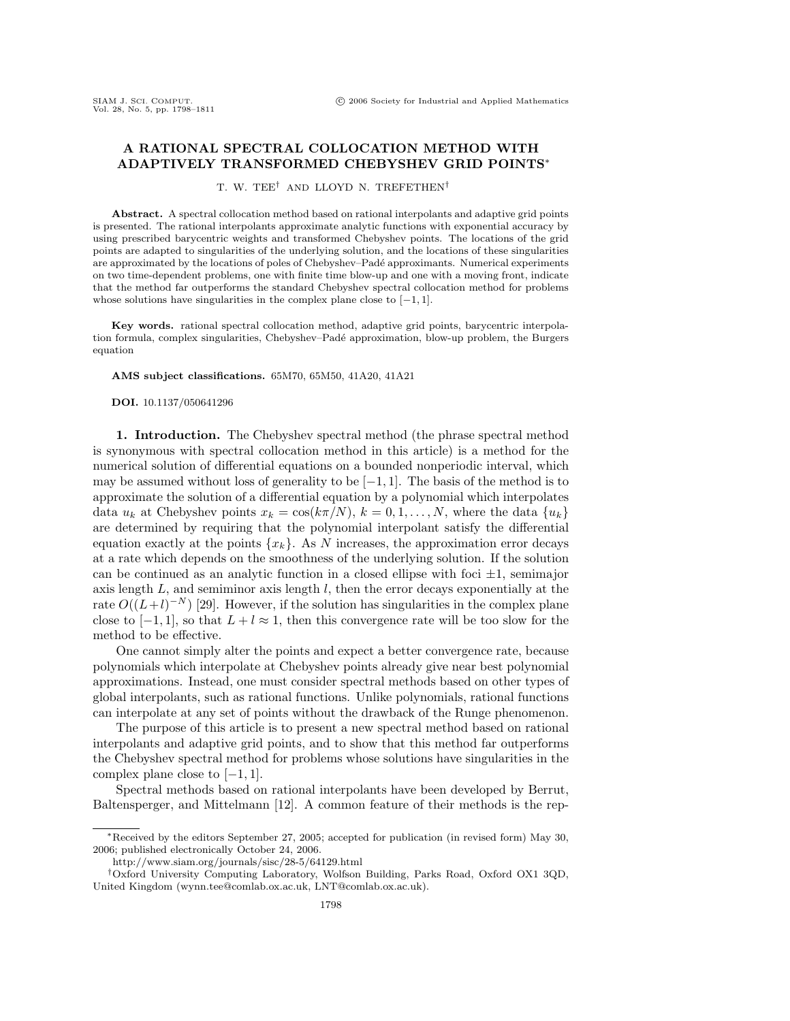## **A RATIONAL SPECTRAL COLLOCATION METHOD WITH ADAPTIVELY TRANSFORMED CHEBYSHEV GRID POINTS**∗

T. W. TEE† AND LLOYD N. TREFETHEN†

**Abstract.** A spectral collocation method based on rational interpolants and adaptive grid points is presented. The rational interpolants approximate analytic functions with exponential accuracy by using prescribed barycentric weights and transformed Chebyshev points. The locations of the grid points are adapted to singularities of the underlying solution, and the locations of these singularities are approximated by the locations of poles of Chebyshev–Padé approximants. Numerical experiments on two time-dependent problems, one with finite time blow-up and one with a moving front, indicate that the method far outperforms the standard Chebyshev spectral collocation method for problems whose solutions have singularities in the complex plane close to  $[-1, 1]$ .

**Key words.** rational spectral collocation method, adaptive grid points, barycentric interpolation formula, complex singularities, Chebyshev–Padé approximation, blow-up problem, the Burgers equation

**AMS subject classifications.** 65M70, 65M50, 41A20, 41A21

**DOI.** 10.1137/050641296

**1. Introduction.** The Chebyshev spectral method (the phrase spectral method is synonymous with spectral collocation method in this article) is a method for the numerical solution of differential equations on a bounded nonperiodic interval, which may be assumed without loss of generality to be  $[-1, 1]$ . The basis of the method is to approximate the solution of a differential equation by a polynomial which interpolates data  $u_k$  at Chebyshev points  $x_k = \cos(k\pi/N), k = 0, 1, \ldots, N$ , where the data  $\{u_k\}$ are determined by requiring that the polynomial interpolant satisfy the differential equation exactly at the points  $\{x_k\}$ . As N increases, the approximation error decays at a rate which depends on the smoothness of the underlying solution. If the solution can be continued as an analytic function in a closed ellipse with foci  $\pm 1$ , semimajor axis length  $L$ , and semiminor axis length  $l$ , then the error decays exponentially at the rate  $O((L+l)^{-N})$  [29]. However, if the solution has singularities in the complex plane close to  $[-1, 1]$ , so that  $L + l \approx 1$ , then this convergence rate will be too slow for the method to be effective.

One cannot simply alter the points and expect a better convergence rate, because polynomials which interpolate at Chebyshev points already give near best polynomial approximations. Instead, one must consider spectral methods based on other types of global interpolants, such as rational functions. Unlike polynomials, rational functions can interpolate at any set of points without the drawback of the Runge phenomenon.

The purpose of this article is to present a new spectral method based on rational interpolants and adaptive grid points, and to show that this method far outperforms the Chebyshev spectral method for problems whose solutions have singularities in the complex plane close to  $[-1, 1]$ .

Spectral methods based on rational interpolants have been developed by Berrut, Baltensperger, and Mittelmann [12]. A common feature of their methods is the rep-

<sup>∗</sup>Received by the editors September 27, 2005; accepted for publication (in revised form) May 30, 2006; published electronically October 24, 2006.

http://www.siam.org/journals/sisc/28-5/64129.html

<sup>†</sup>Oxford University Computing Laboratory, Wolfson Building, Parks Road, Oxford OX1 3QD, United Kingdom (wynn.tee@comlab.ox.ac.uk, LNT@comlab.ox.ac.uk).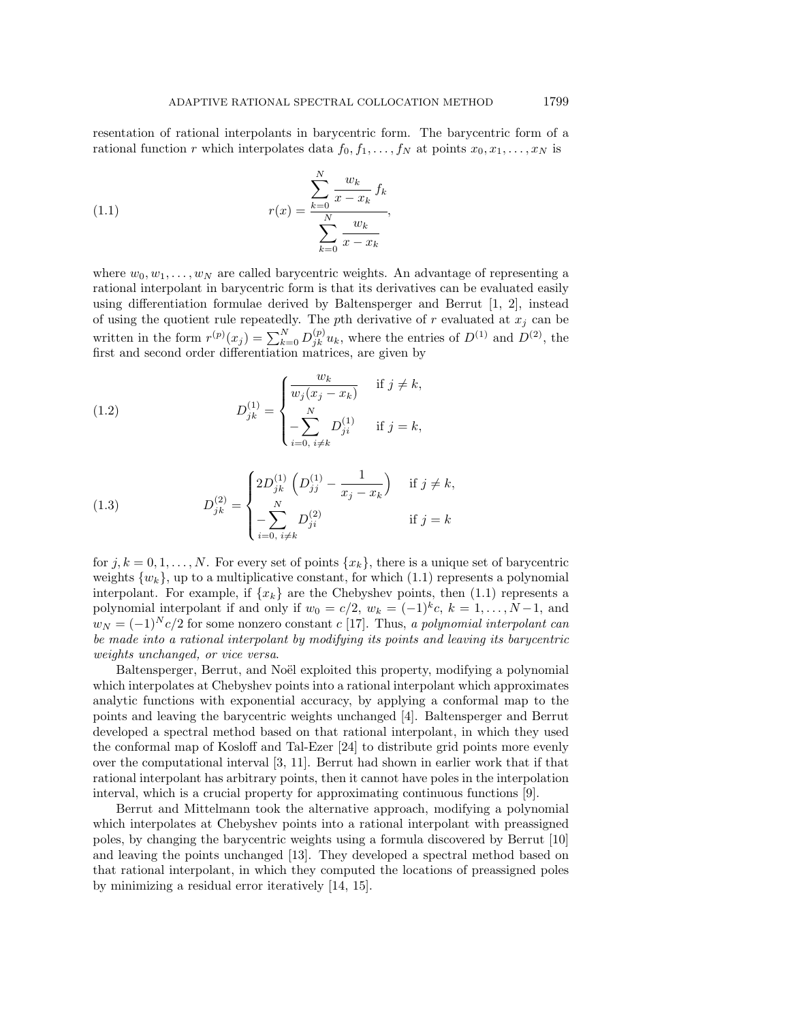resentation of rational interpolants in barycentric form. The barycentric form of a rational function r which interpolates data  $f_0, f_1, \ldots, f_N$  at points  $x_0, x_1, \ldots, x_N$  is

(1.1) 
$$
r(x) = \frac{\sum_{k=0}^{N} \frac{w_k}{x - x_k} f_k}{\sum_{k=0}^{N} \frac{w_k}{x - x_k}},
$$

where  $w_0, w_1, \ldots, w_N$  are called barycentric weights. An advantage of representing a rational interpolant in barycentric form is that its derivatives can be evaluated easily using differentiation formulae derived by Baltensperger and Berrut [1, 2], instead of using the quotient rule repeatedly. The pth derivative of r evaluated at  $x_j$  can be written in the form  $r^{(p)}(x_j) = \sum_{k=0}^{N} D_{jk}^{(p)} u_k$ , where the entries of  $D^{(1)}$  and  $D^{(2)}$ , the first and second order differentiation matrices, are given by

(1.2) 
$$
D_{jk}^{(1)} = \begin{cases} \frac{w_k}{w_j(x_j - x_k)} & \text{if } j \neq k, \\ -\sum_{i=0, i \neq k}^{N} D_{ji}^{(1)} & \text{if } j = k, \end{cases}
$$

(1.3) 
$$
D_{jk}^{(2)} = \begin{cases} 2D_{jk}^{(1)} \left( D_{jj}^{(1)} - \frac{1}{x_j - x_k} \right) & \text{if } j \neq k, \\ -\sum_{i=0, i \neq k}^{N} D_{ji}^{(2)} & \text{if } j = k \end{cases}
$$

for  $j, k = 0, 1, \ldots, N$ . For every set of points  $\{x_k\}$ , there is a unique set of barycentric weights  $\{w_k\}$ , up to a multiplicative constant, for which (1.1) represents a polynomial interpolant. For example, if  $\{x_k\}$  are the Chebyshev points, then  $(1.1)$  represents a polynomial interpolant if and only if  $w_0 = c/2$ ,  $w_k = (-1)^k c$ ,  $k = 1, ..., N-1$ , and  $w_N = (-1)^N c/2$  for some nonzero constant c [17]. Thus, a polynomial interpolant can be made into a rational interpolant by modifying its points and leaving its barycentric weights unchanged, or vice versa.

Baltensperger, Berrut, and Noël exploited this property, modifying a polynomial which interpolates at Chebyshev points into a rational interpolant which approximates analytic functions with exponential accuracy, by applying a conformal map to the points and leaving the barycentric weights unchanged [4]. Baltensperger and Berrut developed a spectral method based on that rational interpolant, in which they used the conformal map of Kosloff and Tal-Ezer [24] to distribute grid points more evenly over the computational interval [3, 11]. Berrut had shown in earlier work that if that rational interpolant has arbitrary points, then it cannot have poles in the interpolation interval, which is a crucial property for approximating continuous functions [9].

Berrut and Mittelmann took the alternative approach, modifying a polynomial which interpolates at Chebyshev points into a rational interpolant with preassigned poles, by changing the barycentric weights using a formula discovered by Berrut [10] and leaving the points unchanged [13]. They developed a spectral method based on that rational interpolant, in which they computed the locations of preassigned poles by minimizing a residual error iteratively [14, 15].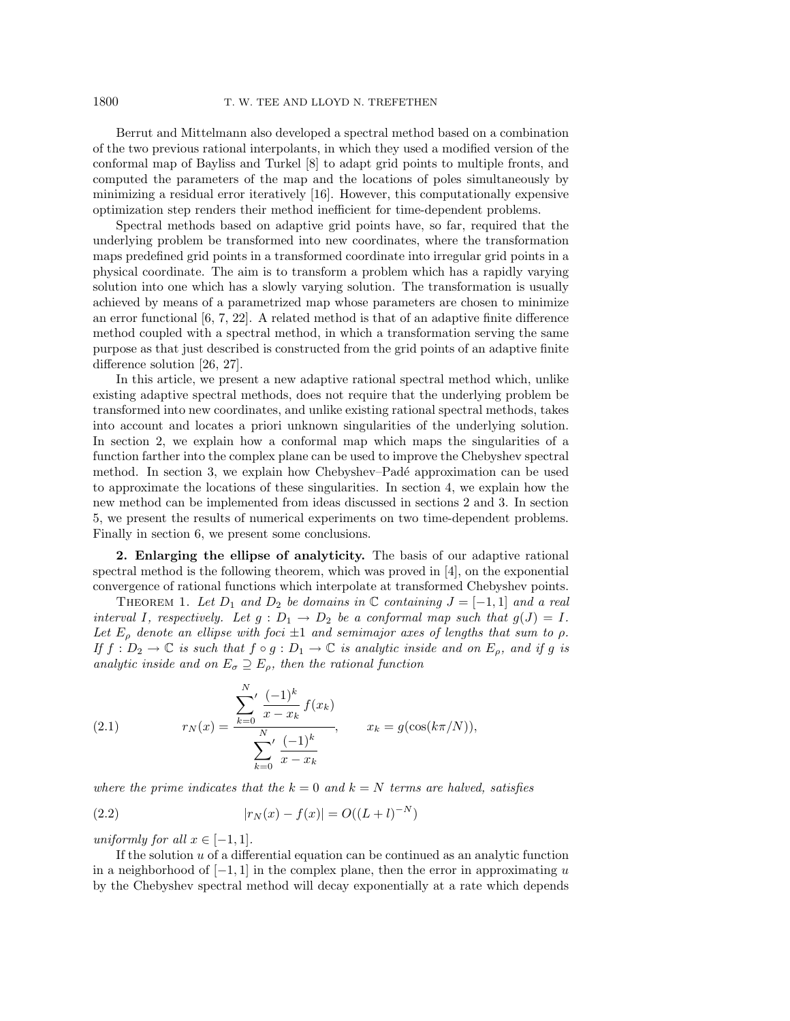Berrut and Mittelmann also developed a spectral method based on a combination of the two previous rational interpolants, in which they used a modified version of the conformal map of Bayliss and Turkel [8] to adapt grid points to multiple fronts, and computed the parameters of the map and the locations of poles simultaneously by minimizing a residual error iteratively [16]. However, this computationally expensive optimization step renders their method inefficient for time-dependent problems.

Spectral methods based on adaptive grid points have, so far, required that the underlying problem be transformed into new coordinates, where the transformation maps predefined grid points in a transformed coordinate into irregular grid points in a physical coordinate. The aim is to transform a problem which has a rapidly varying solution into one which has a slowly varying solution. The transformation is usually achieved by means of a parametrized map whose parameters are chosen to minimize an error functional [6, 7, 22]. A related method is that of an adaptive finite difference method coupled with a spectral method, in which a transformation serving the same purpose as that just described is constructed from the grid points of an adaptive finite difference solution [26, 27].

In this article, we present a new adaptive rational spectral method which, unlike existing adaptive spectral methods, does not require that the underlying problem be transformed into new coordinates, and unlike existing rational spectral methods, takes into account and locates a priori unknown singularities of the underlying solution. In section 2, we explain how a conformal map which maps the singularities of a function farther into the complex plane can be used to improve the Chebyshev spectral method. In section 3, we explain how Chebyshev–Padé approximation can be used to approximate the locations of these singularities. In section 4, we explain how the new method can be implemented from ideas discussed in sections 2 and 3. In section 5, we present the results of numerical experiments on two time-dependent problems. Finally in section 6, we present some conclusions.

**2. Enlarging the ellipse of analyticity.** The basis of our adaptive rational spectral method is the following theorem, which was proved in [4], on the exponential convergence of rational functions which interpolate at transformed Chebyshev points.

THEOREM 1. Let  $D_1$  and  $D_2$  be domains in  $\mathbb C$  containing  $J = [-1,1]$  and a real interval I, respectively. Let  $g: D_1 \to D_2$  be a conformal map such that  $g(J) = I$ . Let  $E_{\rho}$  denote an ellipse with foci  $\pm 1$  and semimajor axes of lengths that sum to  $\rho$ . If  $f: D_2 \to \mathbb{C}$  is such that  $f \circ g: D_1 \to \mathbb{C}$  is analytic inside and on  $E_{\rho}$ , and if g is analytic inside and on  $E_{\sigma} \supseteq E_{\rho}$ , then the rational function

(2.1) 
$$
r_N(x) = \frac{\sum_{k=0}^{N} \frac{(-1)^k}{x - x_k} f(x_k)}{\sum_{k=0}^{N} \frac{(-1)^k}{x - x_k}}, \qquad x_k = g(\cos(k\pi/N)),
$$

where the prime indicates that the  $k = 0$  and  $k = N$  terms are halved, satisfies

(2.2) 
$$
|r_N(x) - f(x)| = O((L+l)^{-N})
$$

uniformly for all  $x \in [-1, 1]$ .

If the solution  $u$  of a differential equation can be continued as an analytic function in a neighborhood of  $[-1, 1]$  in the complex plane, then the error in approximating u by the Chebyshev spectral method will decay exponentially at a rate which depends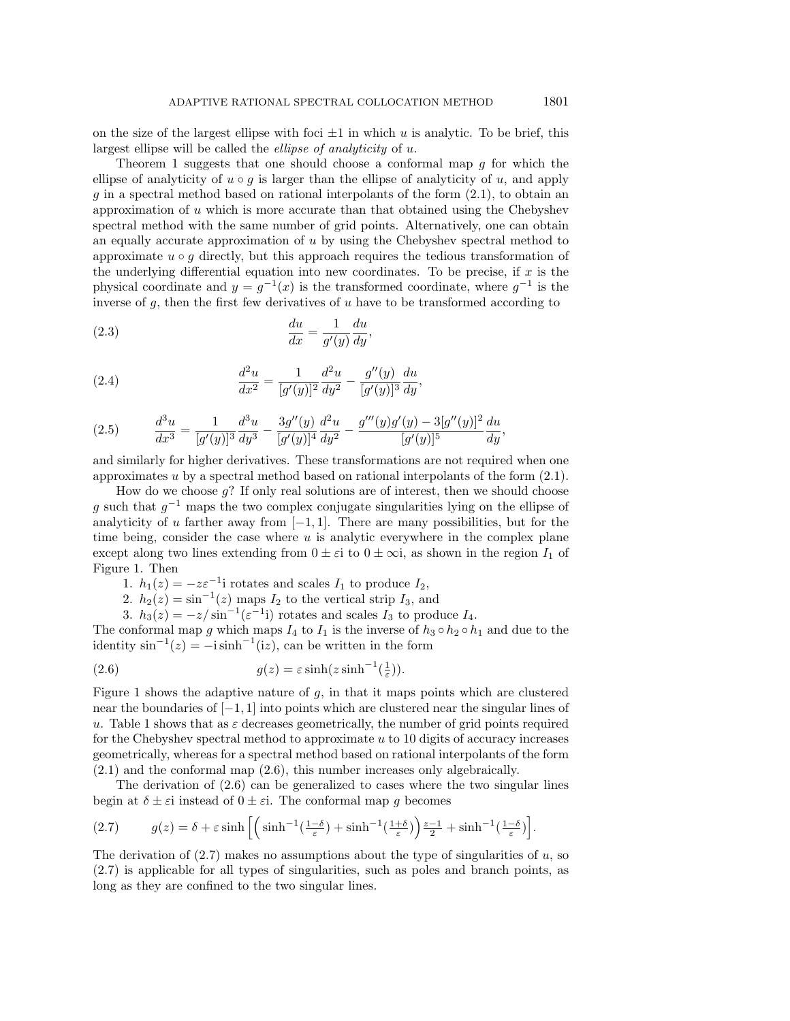on the size of the largest ellipse with foci  $\pm 1$  in which u is analytic. To be brief, this largest ellipse will be called the ellipse of analyticity of u.

Theorem 1 suggests that one should choose a conformal map g for which the ellipse of analyticity of  $u \circ q$  is larger than the ellipse of analyticity of u, and apply g in a spectral method based on rational interpolants of the form  $(2.1)$ , to obtain an approximation of  $u$  which is more accurate than that obtained using the Chebyshev spectral method with the same number of grid points. Alternatively, one can obtain an equally accurate approximation of  $u$  by using the Chebyshev spectral method to approximate  $u \circ q$  directly, but this approach requires the tedious transformation of the underlying differential equation into new coordinates. To be precise, if  $x$  is the physical coordinate and  $y = g^{-1}(x)$  is the transformed coordinate, where  $g^{-1}$  is the inverse of  $q$ , then the first few derivatives of  $u$  have to be transformed according to

(2.3) 
$$
\frac{du}{dx} = \frac{1}{g'(y)} \frac{du}{dy},
$$

(2.4) 
$$
\frac{d^2u}{dx^2} = \frac{1}{[g'(y)]^2} \frac{d^2u}{dy^2} - \frac{g''(y)}{[g'(y)]^3} \frac{du}{dy},
$$

$$
(2.5) \qquad \frac{d^3u}{dx^3} = \frac{1}{[g'(y)]^3} \frac{d^3u}{dy^3} - \frac{3g''(y)}{[g'(y)]^4} \frac{d^2u}{dy^2} - \frac{g'''(y)g'(y) - 3[g''(y)]^2}{[g'(y)]^5} \frac{du}{dy},
$$

and similarly for higher derivatives. These transformations are not required when one approximates  $u$  by a spectral method based on rational interpolants of the form  $(2.1)$ .

How do we choose g? If only real solutions are of interest, then we should choose g such that  $q^{-1}$  maps the two complex conjugate singularities lying on the ellipse of analyticity of u farther away from  $[-1, 1]$ . There are many possibilities, but for the time being, consider the case where  $u$  is analytic everywhere in the complex plane except along two lines extending from  $0 \pm \varepsilon i$  to  $0 \pm \infty i$ , as shown in the region  $I_1$  of Figure 1. Then

- 1.  $h_1(z) = -z\varepsilon^{-1}i$  rotates and scales  $I_1$  to produce  $I_2$ ,
- 2.  $h_2(z) = \sin^{-1}(z)$  maps  $I_2$  to the vertical strip  $I_3$ , and
- 3.  $h_3(z) = -z/\sin^{-1}(\varepsilon^{-1}i)$  rotates and scales  $I_3$  to produce  $I_4$ .

The conformal map g which maps  $I_4$  to  $I_1$  is the inverse of  $h_3 \circ h_2 \circ h_1$  and due to the identity  $\sin^{-1}(z) = -i \sinh^{-1}(iz)$ , can be written in the form

(2.6) 
$$
g(z) = \varepsilon \sinh(z \sinh^{-1}(\frac{1}{\varepsilon})).
$$

Figure 1 shows the adaptive nature of  $g$ , in that it maps points which are clustered near the boundaries of [−1, 1] into points which are clustered near the singular lines of u. Table 1 shows that as  $\varepsilon$  decreases geometrically, the number of grid points required for the Chebyshev spectral method to approximate  $u$  to 10 digits of accuracy increases geometrically, whereas for a spectral method based on rational interpolants of the form (2.1) and the conformal map (2.6), this number increases only algebraically.

The derivation of (2.6) can be generalized to cases where the two singular lines begin at  $\delta \pm \varepsilon$  instead of  $0 \pm \varepsilon$ i. The conformal map g becomes

(2.7) 
$$
g(z) = \delta + \varepsilon \sinh\left[\left(\sinh^{-1}\left(\frac{1-\delta}{\varepsilon}\right) + \sinh^{-1}\left(\frac{1+\delta}{\varepsilon}\right)\right)\frac{z-1}{2} + \sinh^{-1}\left(\frac{1-\delta}{\varepsilon}\right)\right].
$$

The derivation of  $(2.7)$  makes no assumptions about the type of singularities of u, so (2.7) is applicable for all types of singularities, such as poles and branch points, as long as they are confined to the two singular lines.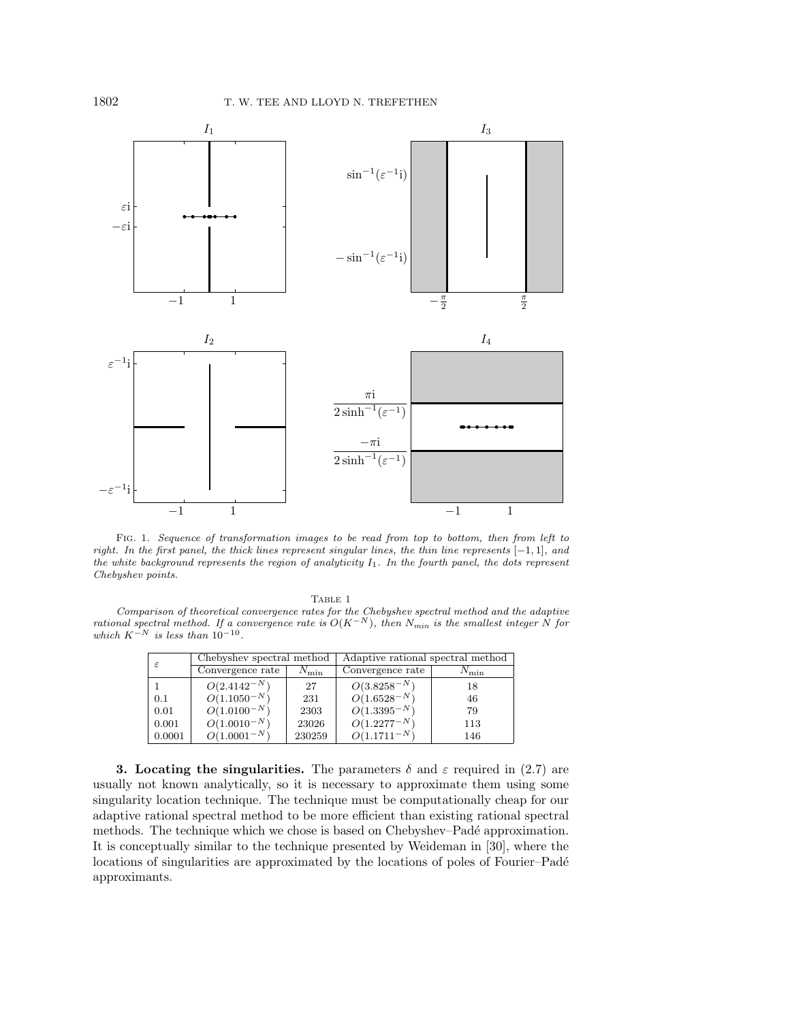

Fig. 1. Sequence of transformation images to be read from top to bottom, then from left to right. In the first panel, the thick lines represent singular lines, the thin line represents [−1, 1], and the white background represents the region of analyticity  $I_1$ . In the fourth panel, the dots represent Chebyshev points.

Comparison of theoretical convergence rates for the Chebyshev spectral method and the adaptive rational spectral method. If a convergence rate is  $O(K^{-N})$ , then  $N_{min}$  is the smallest integer N for which  $K^{-N}$  is less than 10<sup>-10</sup>.

|        | Chebyshev spectral method |               | Adaptive rational spectral method |               |
|--------|---------------------------|---------------|-----------------------------------|---------------|
|        | Convergence rate          | $N_{\rm min}$ | Convergence rate                  | $N_{\rm min}$ |
|        | $O(2.4142^{-N})$          | 27            | $O(3.8258^{-N})$                  | 18            |
| 0.1    | $O(1.1050^{-N})$          | 231           | $O(1.6528^{-N})$                  | 46            |
| 0.01   | $O(1.0100^{-N})$          | 2303          | $O(1.3395^{-N})$                  | 79            |
| 0.001  | $O(1.0010^{-N})$          | 23026         | $O(1.2277^{-N})$                  | 113           |
| 0.0001 | $O(1.0001^{-N})$          | 230259        | $O(1.1711^{-N})$                  | 146           |

**3. Locating the singularities.** The parameters  $\delta$  and  $\varepsilon$  required in (2.7) are usually not known analytically, so it is necessary to approximate them using some singularity location technique. The technique must be computationally cheap for our adaptive rational spectral method to be more efficient than existing rational spectral methods. The technique which we chose is based on Chebyshev–Padé approximation. It is conceptually similar to the technique presented by Weideman in [30], where the locations of singularities are approximated by the locations of poles of Fourier–Padé approximants.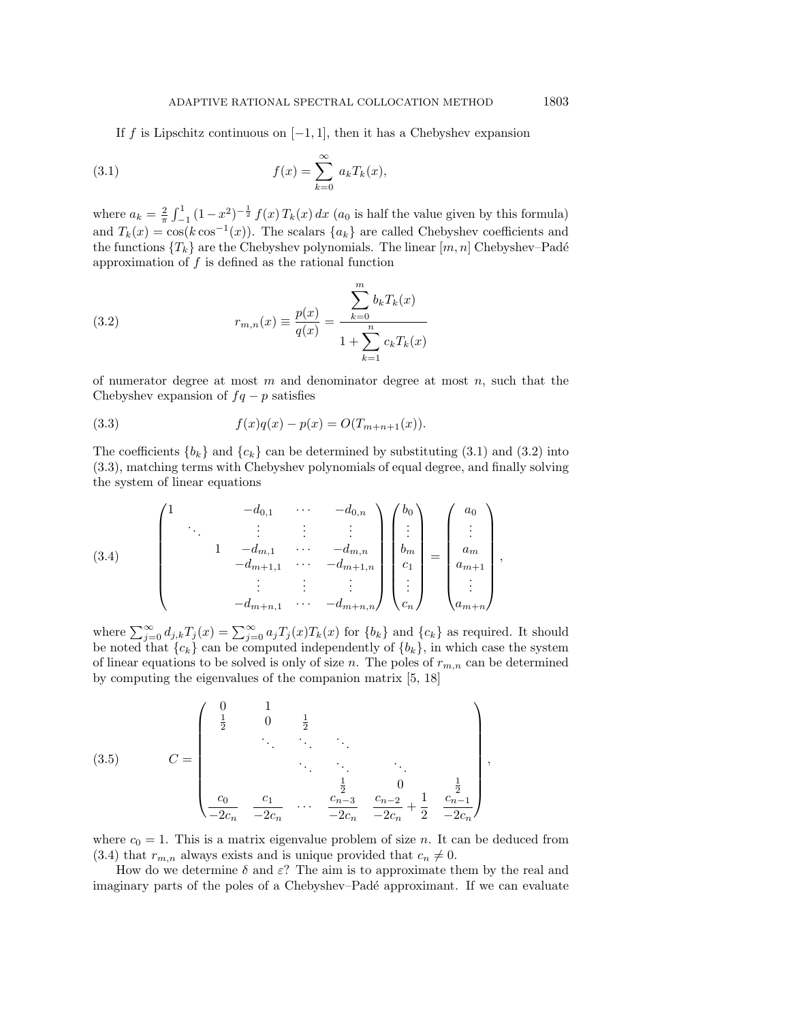If f is Lipschitz continuous on  $[-1, 1]$ , then it has a Chebyshev expansion

(3.1) 
$$
f(x) = \sum_{k=0}^{\infty} a_k T_k(x),
$$

where  $a_k = \frac{2}{\pi} \int_{-1}^{1} (1 - x^2)^{-\frac{1}{2}} f(x) T_k(x) dx$  (*a*<sub>0</sub> is half the value given by this formula) and  $T_k(x) = \cos(k \cos^{-1}(x))$ . The scalars  $\{a_k\}$  are called Chebyshev coefficients and the functions  $\{T_k\}$  are the Chebyshev polynomials. The linear  $[m, n]$  Chebyshev–Padé approximation of  $f$  is defined as the rational function

(3.2) 
$$
r_{m,n}(x) \equiv \frac{p(x)}{q(x)} = \frac{\sum_{k=0}^{m} b_k T_k(x)}{1 + \sum_{k=1}^{n} c_k T_k(x)}
$$

of numerator degree at most  $m$  and denominator degree at most  $n$ , such that the Chebyshev expansion of  $fq - p$  satisfies

(3.3) 
$$
f(x)q(x) - p(x) = O(T_{m+n+1}(x)).
$$

The coefficients  $\{b_k\}$  and  $\{c_k\}$  can be determined by substituting (3.1) and (3.2) into (3.3), matching terms with Chebyshev polynomials of equal degree, and finally solving the system of linear equations

$$
(3.4) \qquad \begin{pmatrix} 1 & & & & -d_{0,1} & & \cdots & & -d_{0,n} \\ & \ddots & & \vdots & & \vdots & & \vdots \\ & & 1 & -d_{m,1} & & \cdots & & -d_{m,n} \\ & & & -d_{m+1,1} & & \cdots & & -d_{m+1,n} \\ & & & \vdots & & \vdots & & \vdots \\ & & & & -d_{m+n,1} & & \cdots & & -d_{m+n,n} \end{pmatrix} \begin{pmatrix} b_0 \\ \vdots \\ b_m \\ c_1 \\ \vdots \\ c_n \end{pmatrix} = \begin{pmatrix} a_0 \\ \vdots \\ a_m \\ a_{m+1} \\ \vdots \\ a_{m+n} \end{pmatrix},
$$

where  $\sum_{j=0}^{\infty} d_{j,k} T_j(x) = \sum_{j=0}^{\infty} a_j T_j(x) T_k(x)$  for  $\{b_k\}$  and  $\{c_k\}$  as required. It should be noted that  ${c_k}$  can be computed independently of  ${b_k}$ , in which case the system of linear equations to be solved is only of size n. The poles of  $r_{m,n}$  can be determined by computing the eigenvalues of the companion matrix [5, 18]

(3.5) 
$$
C = \begin{pmatrix} 0 & 1 & & & & & \\ \frac{1}{2} & 0 & \frac{1}{2} & & & & \\ & \ddots & \ddots & \ddots & & & \\ & & \ddots & \ddots & \ddots & \\ & & & \frac{1}{2} & 0 & \frac{1}{2} \\ \frac{c_0}{-2c_n} & \frac{c_1}{-2c_n} & \cdots & \frac{c_{n-3}}{-2c_n} & \frac{c_{n-2}}{-2c_n} + \frac{1}{2} & \frac{c_{n-1}}{-2c_n} \end{pmatrix},
$$

where  $c_0 = 1$ . This is a matrix eigenvalue problem of size *n*. It can be deduced from (3.4) that  $r_{m,n}$  always exists and is unique provided that  $c_n \neq 0$ .

How do we determine  $\delta$  and  $\varepsilon$ ? The aim is to approximate them by the real and imaginary parts of the poles of a Chebyshev–Padé approximant. If we can evaluate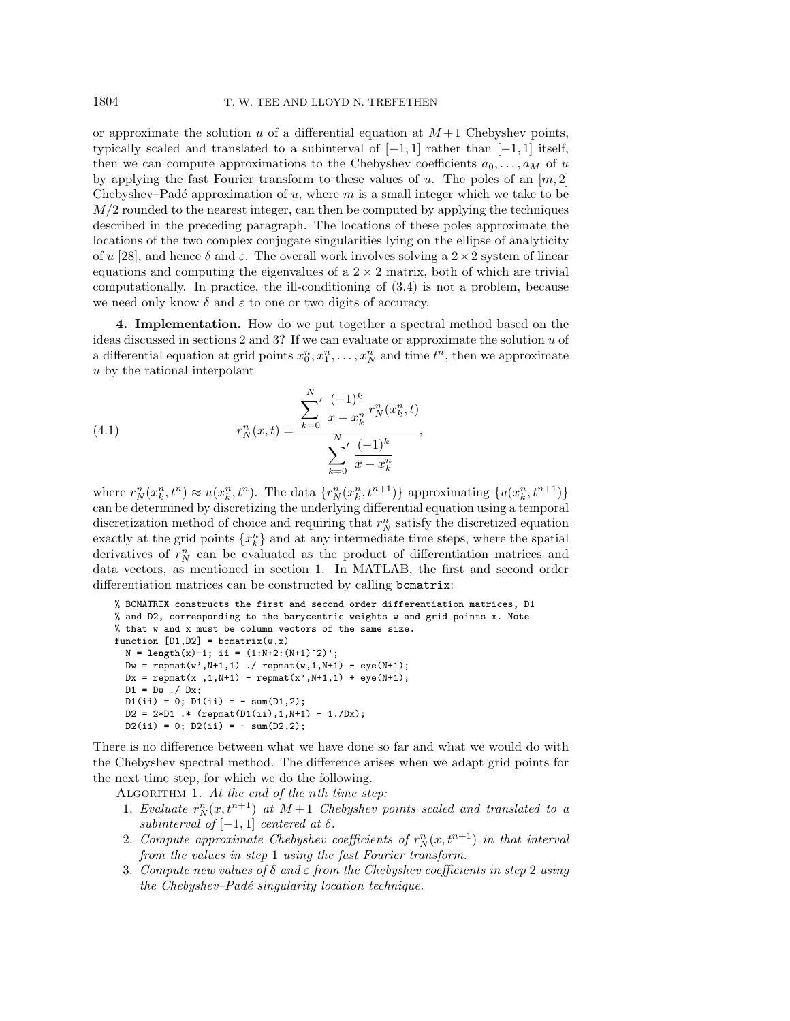or approximate the solution u of a differential equation at  $M+1$  Chebyshev points, typically scaled and translated to a subinterval of  $[-1, 1]$  rather than  $[-1, 1]$  itself, then we can compute approximations to the Chebyshev coefficients  $a_0, \ldots, a_M$  of u by applying the fast Fourier transform to these values of u. The poles of an  $[m, 2]$ Chebyshev–Padé approximation of u, where  $m$  is a small integer which we take to be  $M/2$  rounded to the nearest integer, can then be computed by applying the techniques described in the preceding paragraph. The locations of these poles approximate the locations of the two complex conjugate singularities lying on the ellipse of analyticity of u [28], and hence  $\delta$  and  $\varepsilon$ . The overall work involves solving a  $2 \times 2$  system of linear equations and computing the eigenvalues of a  $2 \times 2$  matrix, both of which are trivial computationally. In practice, the ill-conditioning of (3.4) is not a problem, because we need only know  $\delta$  and  $\varepsilon$  to one or two digits of accuracy.

**4. Implementation.** How do we put together a spectral method based on the ideas discussed in sections  $2$  and  $3$ ? If we can evaluate or approximate the solution  $u$  of a differential equation at grid points  $x_0^n, x_1^n, \ldots, x_N^n$  and time  $t^n$ , then we approximate u by the rational interpolant

(4.1) 
$$
r_N^n(x,t) = \frac{\sum_{k=0}^N \frac{(-1)^k}{x - x_k^n} r_N^n(x_k^n, t)}{\sum_{k=0}^N \frac{(-1)^k}{x - x_k^n}},
$$

where  $r_N^n(x_k^n, t^n) \approx u(x_k^n, t^n)$ . The data  $\{r_N^n(x_k^n, t^{n+1})\}$  approximating  $\{u(x_k^n, t^{n+1})\}$ can be determined by discretizing the underlying differential equation using a temporal discretization method of choice and requiring that  $r_N^n$  satisfy the discretized equation exactly at the grid points  $\{x_k^n\}$  and at any intermediate time steps, where the spatial derivatives of  $r_N^n$  can be evaluated as the product of differentiation matrices and data vectors, as mentioned in section 1. In MATLAB, the first and second order differentiation matrices can be constructed by calling bcmatrix:

```
% BCMATRIX constructs the first and second order differentiation matrices, D1
% and D2, corresponding to the barycentric weights w and grid points x. Note
% that w and x must be column vectors of the same size.
function [D1, D2] = \text{ا}N = length(x)-1; ii = (1:N+2:(N+1)^2);
  Dw = \text{remat}(w', N+1, 1) ./ \text{remat}(w, 1, N+1) - \text{eye}(N+1);
  Dx = \text{repmat}(x, 1, N+1) - \text{repmat}(x', N+1, 1) + \text{eye}(N+1);D1 = Dw ./ Dx;
  D1(i) = 0; D1(i) = - \text{sum}(D1,2);
  D2 = 2*D1 .* (repmat(D1(ii),1,N+1) - 1./Dx);
  D2(ii) = 0; D2(ii) = - \text{sum}(D2,2);
```
There is no difference between what we have done so far and what we would do with the Chebyshev spectral method. The difference arises when we adapt grid points for the next time step, for which we do the following.

ALGORITHM 1. At the end of the nth time step:

- 1. Evaluate  $r_N^n(x, t^{n+1})$  at  $M+1$  Chebyshev points scaled and translated to a subinterval of  $[-1, 1]$  centered at  $\delta$ .
- 2. Compute approximate Chebyshev coefficients of  $r_N^n(x,t^{n+1})$  in that interval from the values in step 1 using the fast Fourier transform.
- 3. Compute new values of  $\delta$  and  $\varepsilon$  from the Chebyshev coefficients in step 2 using the Chebyshev–Padé singularity location technique.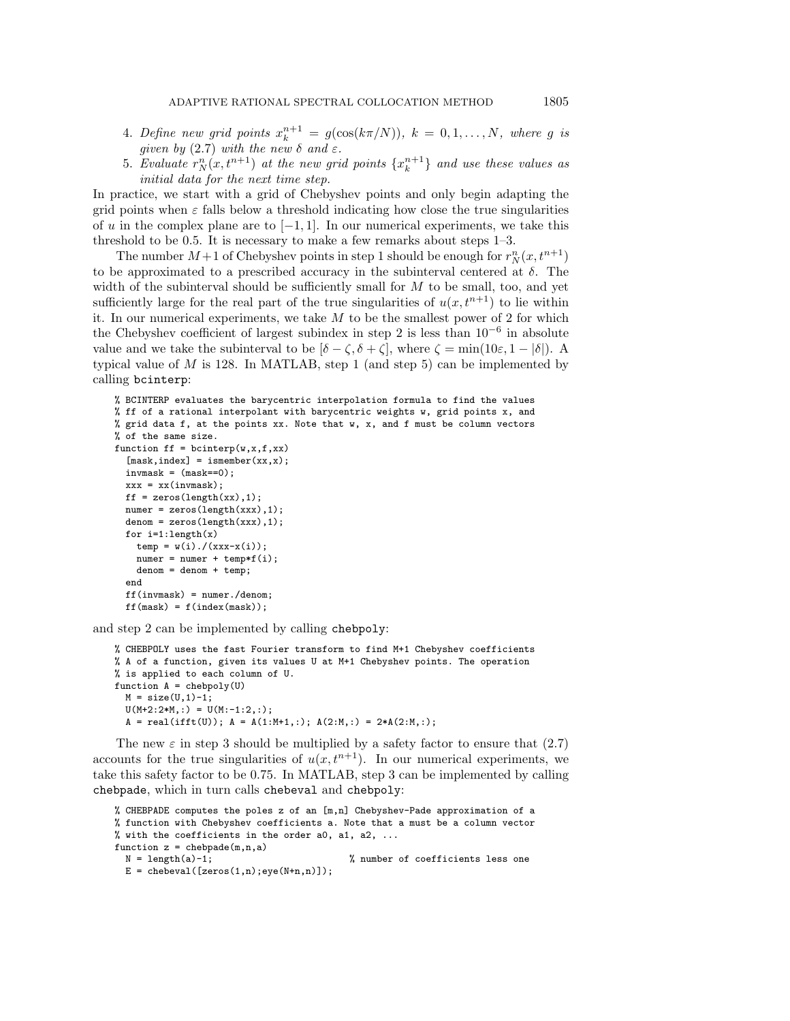- 4. Define new grid points  $x_k^{n+1} = g(\cos(k\pi/N)), k = 0, 1, ..., N$ , where g is given by (2.7) with the new  $\delta$  and  $\varepsilon$ .
- 5. Evaluate  $r_N^n(x,t^{n+1})$  at the new grid points  $\{x_k^{n+1}\}\$  and use these values as initial data for the next time step.

In practice, we start with a grid of Chebyshev points and only begin adapting the grid points when  $\varepsilon$  falls below a threshold indicating how close the true singularities of u in the complex plane are to  $[-1, 1]$ . In our numerical experiments, we take this threshold to be 0.5. It is necessary to make a few remarks about steps 1–3.

The number  $M+1$  of Chebyshev points in step 1 should be enough for  $r_N^n(x, t^{n+1})$ to be approximated to a prescribed accuracy in the subinterval centered at  $\delta$ . The width of the subinterval should be sufficiently small for  $M$  to be small, too, and yet sufficiently large for the real part of the true singularities of  $u(x, t^{n+1})$  to lie within it. In our numerical experiments, we take  $M$  to be the smallest power of 2 for which the Chebyshev coefficient of largest subindex in step 2 is less than  $10^{-6}$  in absolute value and we take the subinterval to be  $[\delta - \zeta, \delta + \zeta]$ , where  $\zeta = \min(10\varepsilon, 1 - |\delta|)$ . A typical value of  $M$  is 128. In MATLAB, step 1 (and step 5) can be implemented by calling bcinterp:

```
% BCINTERP evaluates the barycentric interpolation formula to find the values
% ff of a rational interpolant with barycentric weights w, grid points x, and
% grid data f, at the points xx. Note that w, x, and f must be column vectors
% of the same size.
function ff = \text{bcinterp}(w, x, f, xx)[mask,index] = ismember(xx, x);invmask = (mask == 0);xxx = xx(invmask);ff = zeros(length(xx), 1);numer = zeros(length(xxx), 1);denom = zeros(length(xxx),1);
  for i=1: length(x)temp = w(i) . / (xxx-x(i));numer = numer + temp*f(i);denom = denom + temp;
  end
  ff(invmask) = numer./denom;
  ff(maxk) = f(index(maxk));
```
and step 2 can be implemented by calling chebpoly:

```
% CHEBPOLY uses the fast Fourier transform to find M+1 Chebyshev coefficients
% A of a function, given its values U at M+1 Chebyshev points. The operation
% is applied to each column of U.
function A = chebpoly(U)
 M = size(U, 1) - 1;U(M+2:2*M,:) = U(M:-1:2,:);A = real(ifft(U)); A = A(1:M+1,:); A(2:M,:) = 2*A(2:M,:);
```
The new  $\varepsilon$  in step 3 should be multiplied by a safety factor to ensure that (2.7) accounts for the true singularities of  $u(x, t^{n+1})$ . In our numerical experiments, we take this safety factor to be 0.75. In MATLAB, step 3 can be implemented by calling chebpade, which in turn calls chebeval and chebpoly:

```
% CHEBPADE computes the poles z of an [m,n] Chebyshev-Pade approximation of a
% function with Chebyshev coefficients a. Note that a must be a column vector
% with the coefficients in the order a0, a1, a2, \dotsfunction z = chebpade(m,n,a)
 N = length(a)-1; \% number of coefficients less one
 E = \text{chebeval}([zeros(1, n);eye(N+n, n)]);
```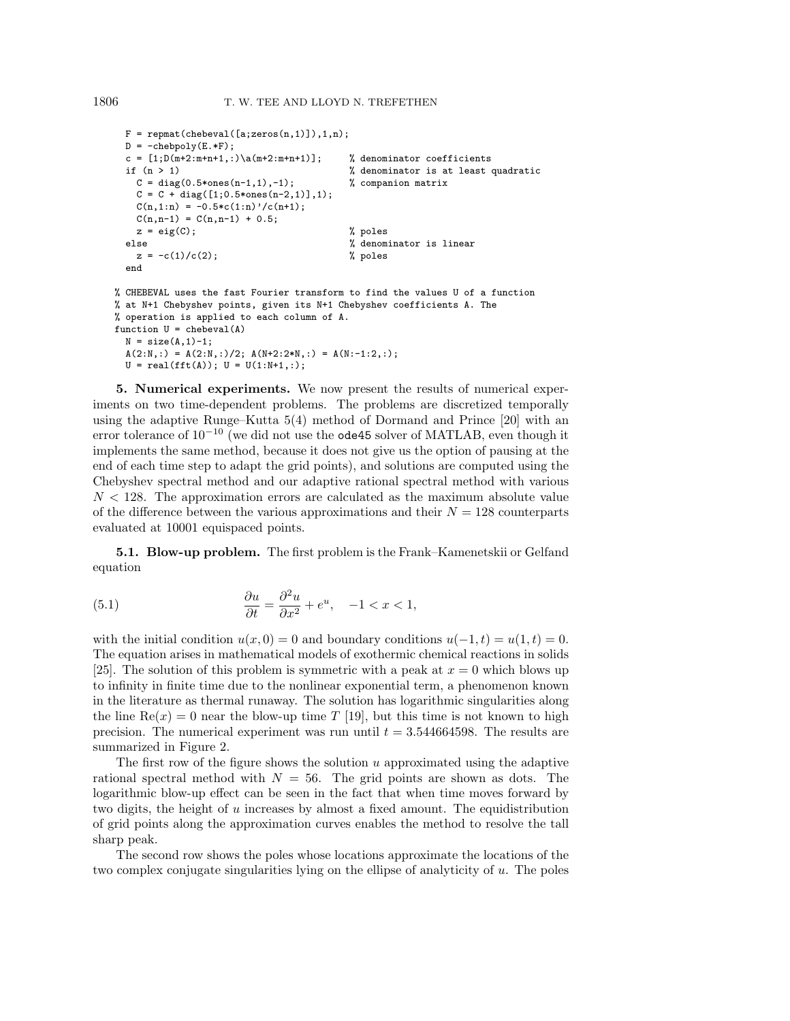```
F = repmat(chebeval([a;zeros(n,1)]),1,n);
 D = -chebpoly(E.*F);c = [1;D(m+2:m+n+1,:)\a(m+2:m+n+1)]; % denominator coefficients
 if (n > 1) % denominator is at least quadratic
   C = diag(0.5 * ones(n-1,1), -1); % companion matrix
   C = C + diag([1; 0.5*ones(n-2,1)], 1);C(n,1:n) = -0.5*c(1:n)'/c(n+1);C(n, n-1) = C(n, n-1) + 0.5;z = eig(C); % poles
 else % denominator is linear
   z = -c(1)/c(2); % poles
 end
% CHEBEVAL uses the fast Fourier transform to find the values U of a function
% at N+1 Chebyshev points, given its N+1 Chebyshev coefficients A. The
% operation is applied to each column of A.
function U = chebeval(A)
 N = size(A, 1)-1;
 A(2:N,:) = A(2:N,:)/2; A(N+2:2*N,:) = A(N:-1:2,:);U = \text{real}(\text{fft}(A)); U = U(1:N+1,:);
```
**5. Numerical experiments.** We now present the results of numerical experiments on two time-dependent problems. The problems are discretized temporally using the adaptive Runge–Kutta 5(4) method of Dormand and Prince [20] with an error tolerance of  $10^{-10}$  (we did not use the **ode45** solver of MATLAB, even though it implements the same method, because it does not give us the option of pausing at the end of each time step to adapt the grid points), and solutions are computed using the Chebyshev spectral method and our adaptive rational spectral method with various  $N < 128$ . The approximation errors are calculated as the maximum absolute value of the difference between the various approximations and their  $N = 128$  counterparts evaluated at 10001 equispaced points.

**5.1. Blow-up problem.** The first problem is the Frank–Kamenetskii or Gelfand equation

(5.1) 
$$
\frac{\partial u}{\partial t} = \frac{\partial^2 u}{\partial x^2} + e^u, \quad -1 < x < 1,
$$

with the initial condition  $u(x, 0) = 0$  and boundary conditions  $u(-1, t) = u(1, t) = 0$ . The equation arises in mathematical models of exothermic chemical reactions in solids [25]. The solution of this problem is symmetric with a peak at  $x = 0$  which blows up to infinity in finite time due to the nonlinear exponential term, a phenomenon known in the literature as thermal runaway. The solution has logarithmic singularities along the line  $\text{Re}(x) = 0$  near the blow-up time T [19], but this time is not known to high precision. The numerical experiment was run until  $t = 3.544664598$ . The results are summarized in Figure 2.

The first row of the figure shows the solution u approximated using the adaptive rational spectral method with  $N = 56$ . The grid points are shown as dots. The logarithmic blow-up effect can be seen in the fact that when time moves forward by two digits, the height of u increases by almost a fixed amount. The equidistribution of grid points along the approximation curves enables the method to resolve the tall sharp peak.

The second row shows the poles whose locations approximate the locations of the two complex conjugate singularities lying on the ellipse of analyticity of  $u$ . The poles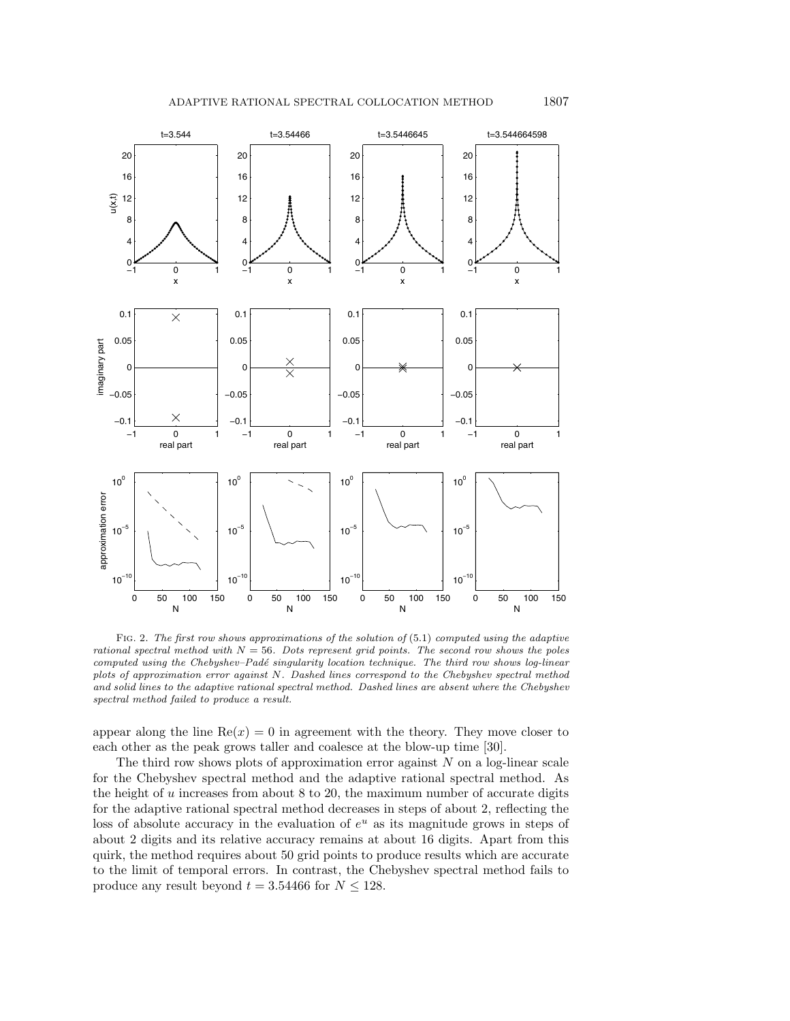

Fig. 2. The first row shows approximations of the solution of (5.1) computed using the adaptive rational spectral method with  $N = 56$ . Dots represent grid points. The second row shows the poles computed using the Chebyshev–Padé singularity location technique. The third row shows log-linear plots of approximation error against N. Dashed lines correspond to the Chebyshev spectral method and solid lines to the adaptive rational spectral method. Dashed lines are absent where the Chebyshev spectral method failed to produce a result.

appear along the line  $Re(x) = 0$  in agreement with the theory. They move closer to each other as the peak grows taller and coalesce at the blow-up time [30].

The third row shows plots of approximation error against  $N$  on a log-linear scale for the Chebyshev spectral method and the adaptive rational spectral method. As the height of  $u$  increases from about  $8$  to  $20$ , the maximum number of accurate digits for the adaptive rational spectral method decreases in steps of about 2, reflecting the loss of absolute accuracy in the evaluation of  $e^u$  as its magnitude grows in steps of about 2 digits and its relative accuracy remains at about 16 digits. Apart from this quirk, the method requires about 50 grid points to produce results which are accurate to the limit of temporal errors. In contrast, the Chebyshev spectral method fails to produce any result beyond  $t = 3.54466$  for  $N \le 128$ .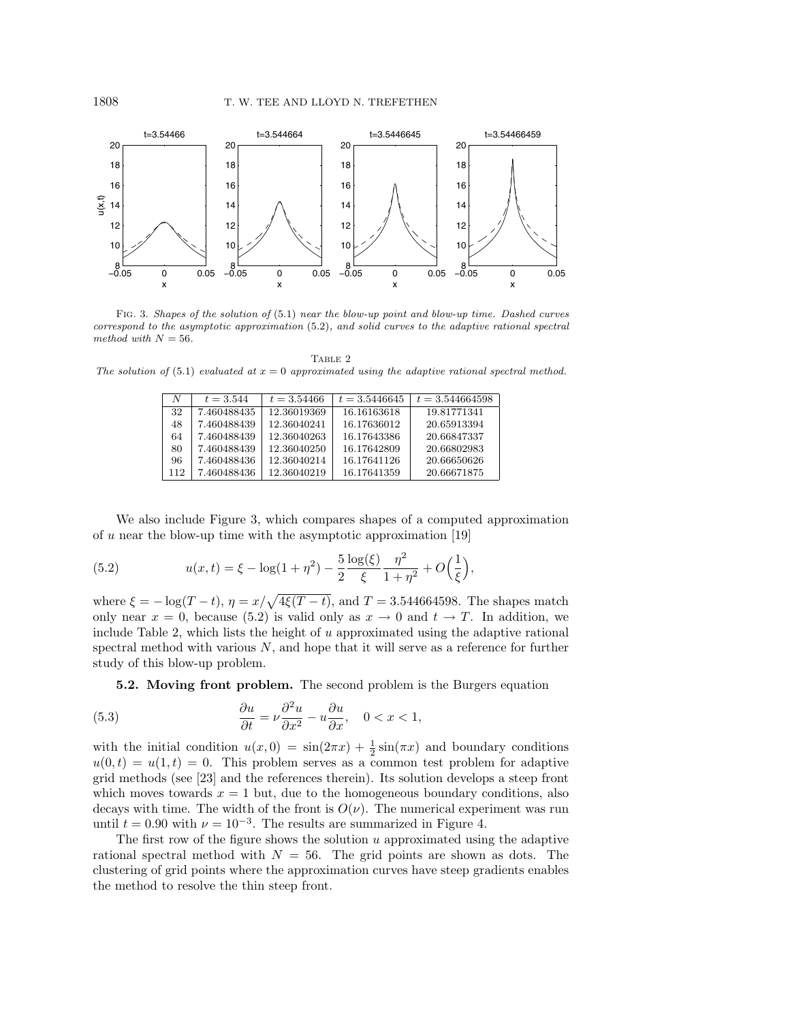

Fig. 3. Shapes of the solution of (5.1) near the blow-up point and blow-up time. Dashed curves correspond to the asymptotic approximation (5.2), and solid curves to the adaptive rational spectral method with  $N = 56$ .

TABLE 2 The solution of (5.1) evaluated at  $x = 0$  approximated using the adaptive rational spectral method.

| N   | $t = 3.544$ | $t = 3.54466$ | $t = 3.5446645$ | $t = 3.544664598$ |
|-----|-------------|---------------|-----------------|-------------------|
| 32  | 7.460488435 | 12.36019369   | 16.16163618     | 19.81771341       |
| 48  | 7.460488439 | 12.36040241   | 16.17636012     | 20.65913394       |
| 64  | 7.460488439 | 12.36040263   | 16.17643386     | 20.66847337       |
| 80  | 7.460488439 | 12.36040250   | 16.17642809     | 20.66802983       |
| 96  | 7.460488436 | 12.36040214   | 16.17641126     | 20.66650626       |
| 112 | 7.460488436 | 12.36040219   | 16.17641359     | 20.66671875       |

We also include Figure 3, which compares shapes of a computed approximation of  $u$  near the blow-up time with the asymptotic approximation [19]

(5.2) 
$$
u(x,t) = \xi - \log(1+\eta^2) - \frac{5}{2} \frac{\log(\xi)}{\xi} \frac{\eta^2}{1+\eta^2} + O\left(\frac{1}{\xi}\right),
$$

where  $\xi = -\log(T - t)$ ,  $\eta = x/\sqrt{4\xi(T - t)}$ , and  $T = 3.544664598$ . The shapes match only near  $x = 0$ , because (5.2) is valid only as  $x \to 0$  and  $t \to T$ . In addition, we include Table 2, which lists the height of  $u$  approximated using the adaptive rational spectral method with various  $N$ , and hope that it will serve as a reference for further study of this blow-up problem.

**5.2. Moving front problem.** The second problem is the Burgers equation

(5.3) 
$$
\frac{\partial u}{\partial t} = \nu \frac{\partial^2 u}{\partial x^2} - u \frac{\partial u}{\partial x}, \quad 0 < x < 1,
$$

with the initial condition  $u(x, 0) = \sin(2\pi x) + \frac{1}{2}\sin(\pi x)$  and boundary conditions  $u(0,t) = u(1,t) = 0$ . This problem serves as a common test problem for adaptive grid methods (see [23] and the references therein). Its solution develops a steep front which moves towards  $x = 1$  but, due to the homogeneous boundary conditions, also decays with time. The width of the front is  $O(\nu)$ . The numerical experiment was run until  $t = 0.90$  with  $\nu = 10^{-3}$ . The results are summarized in Figure 4.

The first row of the figure shows the solution u approximated using the adaptive rational spectral method with  $N = 56$ . The grid points are shown as dots. The clustering of grid points where the approximation curves have steep gradients enables the method to resolve the thin steep front.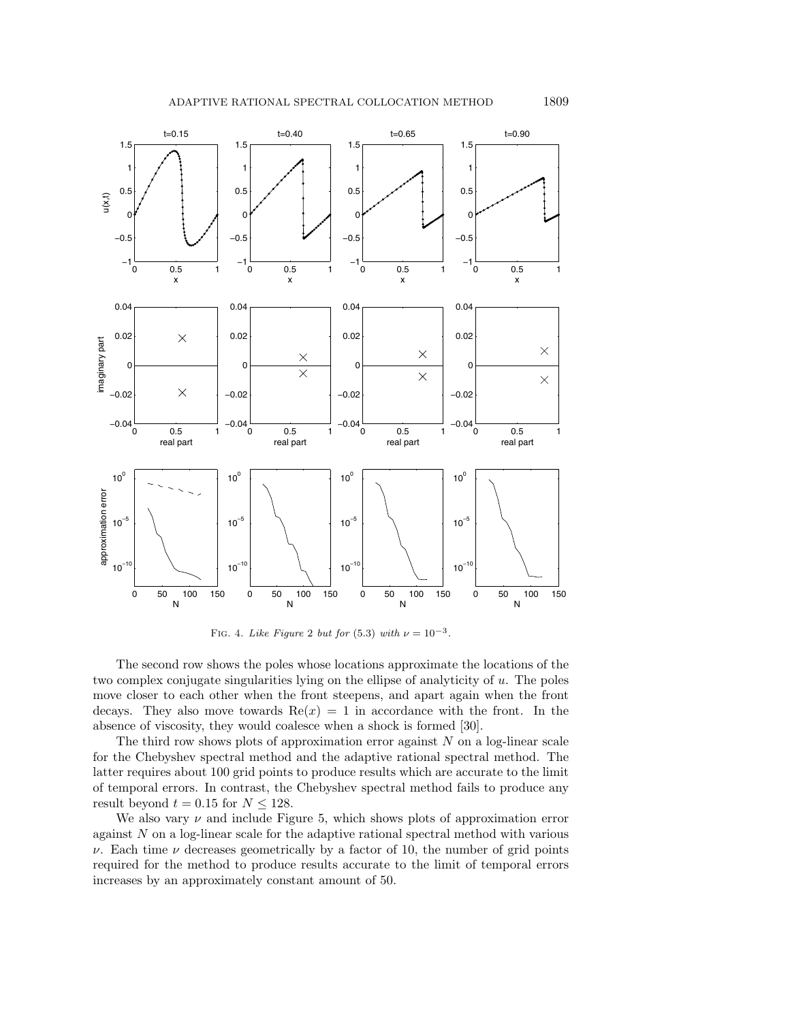



FIG. 4. Like Figure 2 but for (5.3) with  $\nu = 10^{-3}$ .

The second row shows the poles whose locations approximate the locations of the two complex conjugate singularities lying on the ellipse of analyticity of  $u$ . The poles move closer to each other when the front steepens, and apart again when the front decays. They also move towards  $Re(x) = 1$  in accordance with the front. In the absence of viscosity, they would coalesce when a shock is formed [30].

The third row shows plots of approximation error against  $N$  on a log-linear scale for the Chebyshev spectral method and the adaptive rational spectral method. The latter requires about 100 grid points to produce results which are accurate to the limit of temporal errors. In contrast, the Chebyshev spectral method fails to produce any result beyond  $t = 0.15$  for  $N \le 128$ .

We also vary  $\nu$  and include Figure 5, which shows plots of approximation error against N on a log-linear scale for the adaptive rational spectral method with various  $\nu$ . Each time  $\nu$  decreases geometrically by a factor of 10, the number of grid points required for the method to produce results accurate to the limit of temporal errors increases by an approximately constant amount of 50.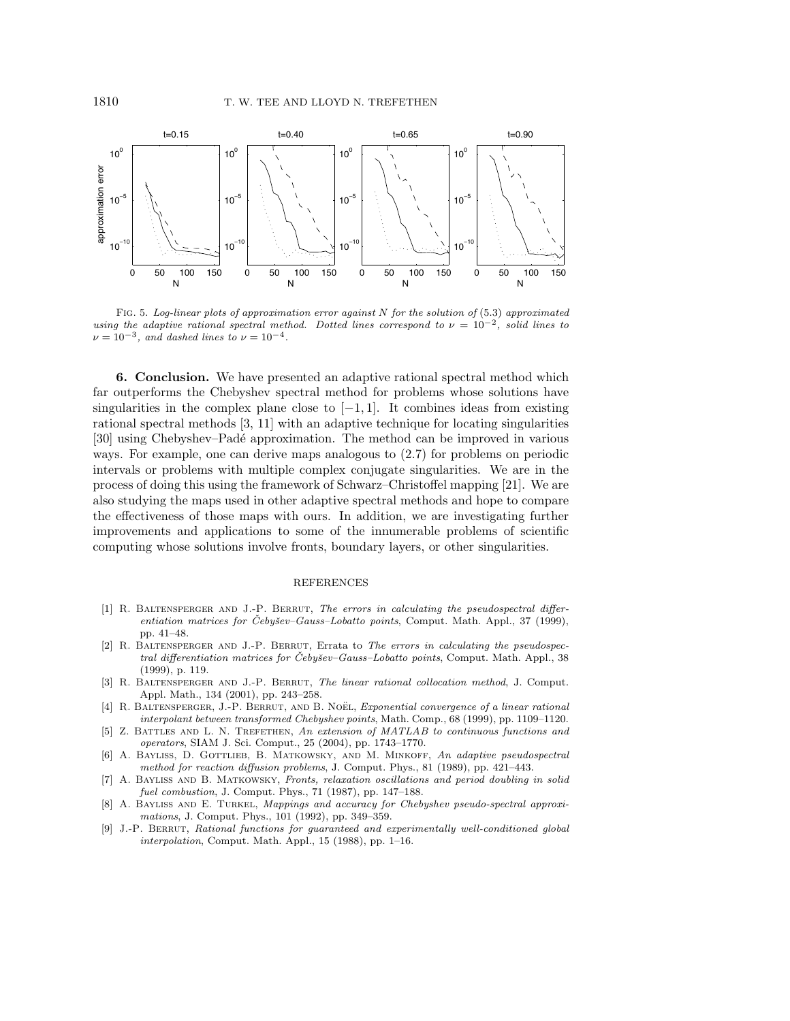

FIG. 5. Log-linear plots of approximation error against  $N$  for the solution of (5.3) approximated using the adaptive rational spectral method. Dotted lines correspond to  $\nu = 10^{-2}$ , solid lines to  $\nu = 10^{-3}$ , and dashed lines to  $\nu = 10^{-4}$ .

**6. Conclusion.** We have presented an adaptive rational spectral method which far outperforms the Chebyshev spectral method for problems whose solutions have singularities in the complex plane close to  $[-1, 1]$ . It combines ideas from existing rational spectral methods [3, 11] with an adaptive technique for locating singularities [30] using Chebyshev–Pad´e approximation. The method can be improved in various ways. For example, one can derive maps analogous to (2.7) for problems on periodic intervals or problems with multiple complex conjugate singularities. We are in the process of doing this using the framework of Schwarz–Christoffel mapping [21]. We are also studying the maps used in other adaptive spectral methods and hope to compare the effectiveness of those maps with ours. In addition, we are investigating further improvements and applications to some of the innumerable problems of scientific computing whose solutions involve fronts, boundary layers, or other singularities.

## REFERENCES

- [1] R. BALTENSPERGER AND J.-P. BERRUT, The errors in calculating the pseudospectral differentiation matrices for Čebyšev–Gauss–Lobatto points, Comput. Math. Appl., 37 (1999), pp. 41–48.
- [2] R. Baltensperger and J.-P. Berrut, Errata to The errors in calculating the pseudospectral differentiation matrices for Čebyšev–Gauss–Lobatto points, Comput. Math. Appl., 38 (1999), p. 119.
- [3] R. BALTENSPERGER AND J.-P. BERRUT, The linear rational collocation method, J. Comput. Appl. Math., 134 (2001), pp. 243–258.
- [4] R. BALTENSPERGER, J.-P. BERRUT, AND B. NOËL, Exponential convergence of a linear rational interpolant between transformed Chebyshev points, Math. Comp., 68 (1999), pp. 1109–1120.
- [5] Z. BATTLES AND L. N. TREFETHEN, An extension of MATLAB to continuous functions and operators, SIAM J. Sci. Comput., 25 (2004), pp. 1743–1770.
- [6] A. BAYLISS, D. GOTTLIEB, B. MATKOWSKY, AND M. MINKOFF, An adaptive pseudospectral method for reaction diffusion problems, J. Comput. Phys., 81 (1989), pp. 421–443.
- [7] A. Bayliss and B. Matkowsky, Fronts, relaxation oscillations and period doubling in solid fuel combustion, J. Comput. Phys., 71 (1987), pp. 147–188.
- [8] A. Bayliss and E. Turkel, Mappings and accuracy for Chebyshev pseudo-spectral approximations, J. Comput. Phys., 101 (1992), pp. 349–359.
- [9] J.-P. Berrut, Rational functions for guaranteed and experimentally well-conditioned global interpolation, Comput. Math. Appl., 15 (1988), pp. 1–16.